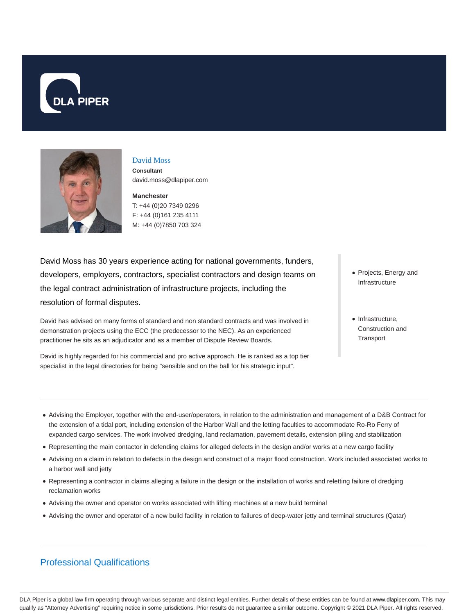



#### David Moss

**Consultant** david.moss@dlapiper.com

**Manchester** T: +44 (0)20 7349 0296 F: +44 (0)161 235 4111

M: +44 (0)7850 703 324

David Moss has 30 years experience acting for national governments, funders, developers, employers, contractors, specialist contractors and design teams on the legal contract administration of infrastructure projects, including the resolution of formal disputes.

David has advised on many forms of standard and non standard contracts and was involved in demonstration projects using the ECC (the predecessor to the NEC). As an experienced practitioner he sits as an adjudicator and as a member of Dispute Review Boards.

David is highly regarded for his commercial and pro active approach. He is ranked as a top tier specialist in the legal directories for being "sensible and on the ball for his strategic input".

- Projects, Energy and Infrastructure
- Infrastructure, Construction and **Transport**

- Advising the Employer, together with the end-user/operators, in relation to the administration and management of a D&B Contract for the extension of a tidal port, including extension of the Harbor Wall and the letting faculties to accommodate Ro-Ro Ferry of expanded cargo services. The work involved dredging, land reclamation, pavement details, extension piling and stabilization
- Representing the main contactor in defending claims for alleged defects in the design and/or works at a new cargo facility
- Advising on a claim in relation to defects in the design and construct of a major flood construction. Work included associated works to a harbor wall and jetty
- Representing a contractor in claims alleging a failure in the design or the installation of works and reletting failure of dredging reclamation works
- Advising the owner and operator on works associated with lifting machines at a new build terminal
- Advising the owner and operator of a new build facility in relation to failures of deep-water jetty and terminal structures (Qatar)

# Professional Qualifications

DLA Piper is a global law firm operating through various separate and distinct legal entities. Further details of these entities can be found at www.dlapiper.com. This may qualify as "Attorney Advertising" requiring notice in some jurisdictions. Prior results do not guarantee a similar outcome. Copyright © 2021 DLA Piper. All rights reserved.